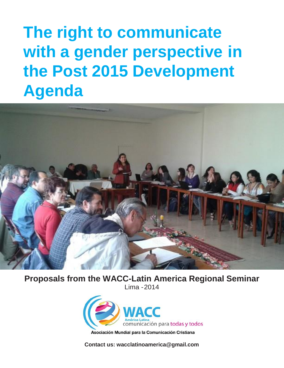# **The right to communicate with a gender perspective in the Post 2015 Development Agenda**



**Proposals from the WACC-Latin America Regional Seminar** Lima -2014



**Contact us: [wacclatinoamerica@gmail.com](mailto:wacclatinoamerica@gmail.com)**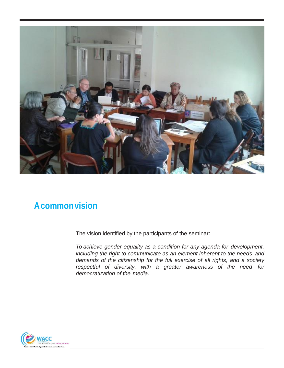

### **Acommonvision**

The vision identified by the participants of the seminar:

*To achieve gender equality as a condition for any agenda for development, including the right to communicate as an element inherent to the needs and demands of the citizenship for the full exercise of all rights, and a society respectful of diversity, with a greater awareness of the need for democratization of the media.*

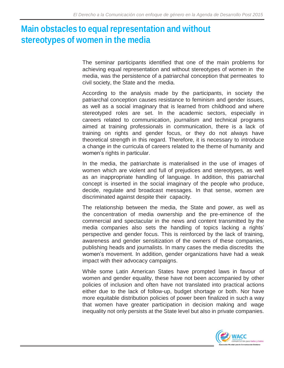## **Main obstacles to equal representation and without stereotypes of women in the media**

The seminar participants identified that one of the main problems for achieving equal representation and without stereotypes of women in the media, was the persistence of a patriarchal conception that permeates to civil society, the State and the media.

According to the analysis made by the participants, in society the patriarchal conception causes resistance to feminism and gender issues, as well as a social imaginary that is learned from childhood and where stereotyped roles are set. In the academic sectors, especially in careers related to communication, journalism and technical programs aimed at training professionals in communication, there is a lack of training on rights and gender focus, or they do not always have theoretical strength in this regard. Therefore, it is necessary to introduce a change in the curricula of careers related to the theme of humanity and women's rights in particular.

In the media, the patriarchate is materialised in the use of images of women which are violent and full of prejudices and stereotypes, as well as an inappropriate handling of language. In addition, this patriarchal concept is inserted in the social imaginary of the people who produce, decide, regulate and broadcast messages. In that sense, women are discriminated against despite their capacity.

The relationship between the media, the State and power, as well as the concentration of media ownership and the pre-eminence of the commercial and spectacular in the news and content transmitted by the media companies also sets the handling of topics lacking a rights' perspective and gender focus. This is reinforced by the lack of training, awareness and gender sensitization of the owners of these companies, publishing heads and journalists. In many cases the media discredits the women's movement. In addition, gender organizations have had a weak impact with their advocacy campaigns.

While some Latin American States have prompted laws in favour of women and gender equality, these have not been accompanied by other policies of inclusion and often have not translated into practical actions either due to the lack of follow-up, budget shortage or both. Nor have more equitable distribution policies of power been finalized in such a way that women have greater participation in decision making and wage inequality not only persists at the State level but also in private companies.

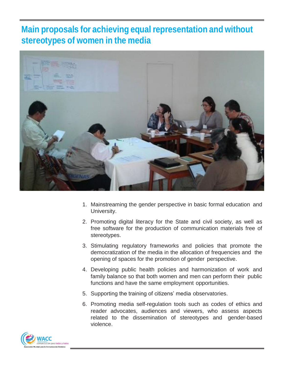### **Main proposals for achieving equal representation and without stereotypes of women in the media**



- 1. Mainstreaming the gender perspective in basic formal education and University.
- 2. Promoting digital literacy for the State and civil society, as well as free software for the production of communication materials free of stereotypes.
- 3. Stimulating regulatory frameworks and policies that promote the democratization of the media in the allocation of frequencies and the opening of spaces for the promotion of gender perspective.
- 4. Developing public health policies and harmonization of work and family balance so that both women and men can perform their public functions and have the same employment opportunities.
- 5. Supporting the training of citizens' media observatories.
- 6. Promoting media self-regulation tools such as codes of ethics and reader advocates, audiences and viewers, who assess aspects related to the dissemination of stereotypes and gender-based violence.